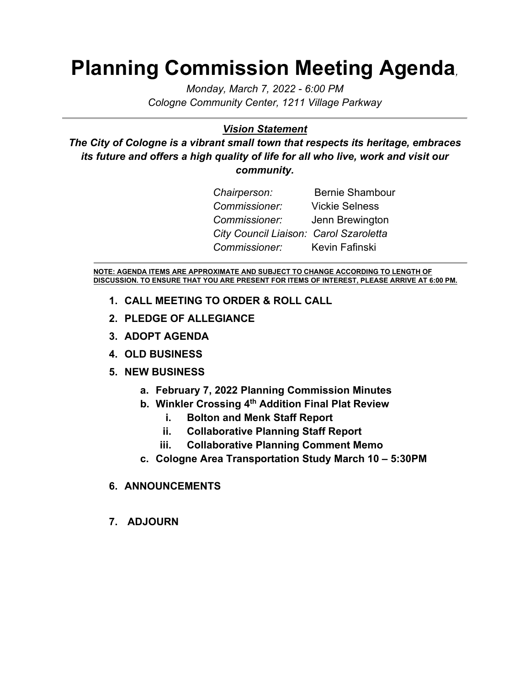## **Planning Commission Meeting Agenda***,*

*Monday, March 7, 2022 - 6:00 PM Cologne Community Center, 1211 Village Parkway*

#### *Vision Statement*

*The City of Cologne is a vibrant small town that respects its heritage, embraces its future and offers a high quality of life for all who live, work and visit our community.*

| Chairperson:                           | <b>Bernie Shambour</b> |
|----------------------------------------|------------------------|
| Commissioner:                          | <b>Vickie Selness</b>  |
| Commissioner: Jenn Brewington          |                        |
| City Council Liaison: Carol Szaroletta |                        |
| Commissioner: Kevin Fafinski           |                        |

**NOTE: AGENDA ITEMS ARE APPROXIMATE AND SUBJECT TO CHANGE ACCORDING TO LENGTH OF DISCUSSION. TO ENSURE THAT YOU ARE PRESENT FOR ITEMS OF INTEREST, PLEASE ARRIVE AT 6:00 PM.**

- **1. CALL MEETING TO ORDER & ROLL CALL**
- **2. PLEDGE OF ALLEGIANCE**
- **3. ADOPT AGENDA**
- **4. OLD BUSINESS**

#### **5. NEW BUSINESS**

- **a. February 7, 2022 Planning Commission Minutes**
- **b. Winkler Crossing 4th Addition Final Plat Review**
	- **i. Bolton and Menk Staff Report**
	- **ii. Collaborative Planning Staff Report**
	- **iii. Collaborative Planning Comment Memo**
- **c. Cologne Area Transportation Study March 10 – 5:30PM**

#### **6. ANNOUNCEMENTS**

**7. ADJOURN**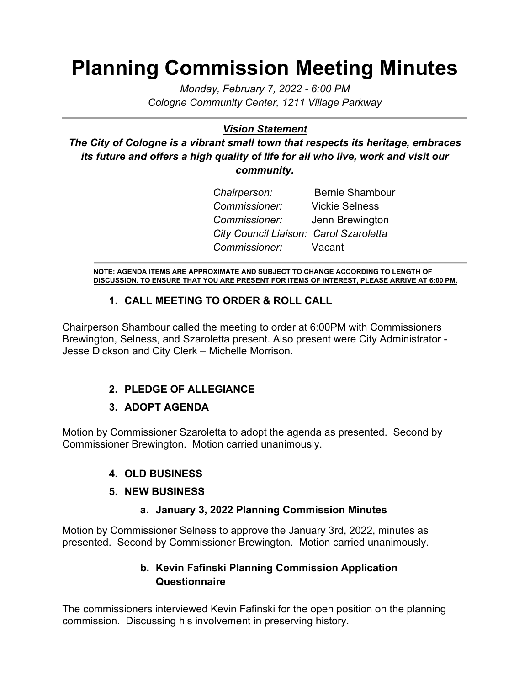## **Planning Commission Meeting Minutes**

*Monday, February 7, 2022 - 6:00 PM Cologne Community Center, 1211 Village Parkway*

## *Vision Statement*

*The City of Cologne is a vibrant small town that respects its heritage, embraces its future and offers a high quality of life for all who live, work and visit our community.*

| Chairperson:                           | <b>Bernie Shambour</b> |
|----------------------------------------|------------------------|
| Commissioner:                          | <b>Vickie Selness</b>  |
| <i>Commissioner</i> :                  | Jenn Brewington        |
| City Council Liaison: Carol Szaroletta |                        |
| Commissioner: Vacant                   |                        |

**NOTE: AGENDA ITEMS ARE APPROXIMATE AND SUBJECT TO CHANGE ACCORDING TO LENGTH OF DISCUSSION. TO ENSURE THAT YOU ARE PRESENT FOR ITEMS OF INTEREST, PLEASE ARRIVE AT 6:00 PM.**

## **1. CALL MEETING TO ORDER & ROLL CALL**

Chairperson Shambour called the meeting to order at 6:00PM with Commissioners Brewington, Selness, and Szaroletta present. Also present were City Administrator - Jesse Dickson and City Clerk – Michelle Morrison.

## **2. PLEDGE OF ALLEGIANCE**

## **3. ADOPT AGENDA**

Motion by Commissioner Szaroletta to adopt the agenda as presented. Second by Commissioner Brewington. Motion carried unanimously.

## **4. OLD BUSINESS**

#### **5. NEW BUSINESS**

#### **a. January 3, 2022 Planning Commission Minutes**

Motion by Commissioner Selness to approve the January 3rd, 2022, minutes as presented. Second by Commissioner Brewington. Motion carried unanimously.

## **b. Kevin Fafinski Planning Commission Application Questionnaire**

The commissioners interviewed Kevin Fafinski for the open position on the planning commission. Discussing his involvement in preserving history.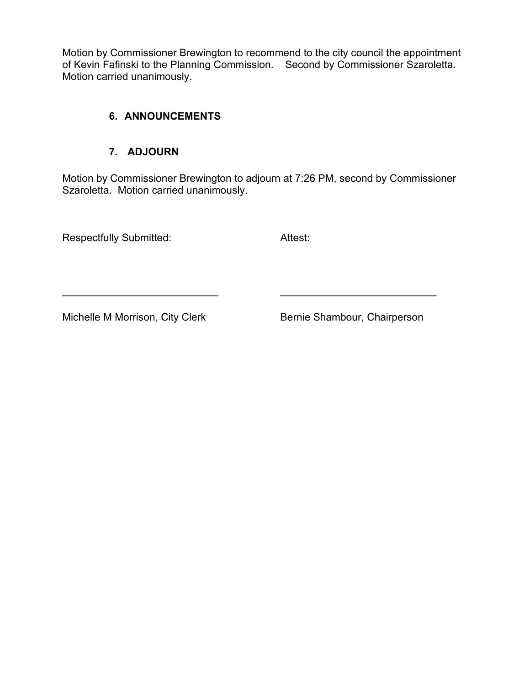Motion by Commissioner Brewington to recommend to the city council the appointment of Kevin Fafinski to the Planning Commission. Second by Commissioner Szaroletta. Motion carried unanimously.

#### **6. ANNOUNCEMENTS**

### **7. ADJOURN**

Motion by Commissioner Brewington to adjourn at 7:26 PM, second by Commissioner Szaroletta. Motion carried unanimously.

\_\_\_\_\_\_\_\_\_\_\_\_\_\_\_\_\_\_\_\_\_\_\_\_\_\_\_ \_\_\_\_\_\_\_\_\_\_\_\_\_\_\_\_\_\_\_\_\_\_\_\_\_\_\_

Respectfully Submitted: Attest:

Michelle M Morrison, City Clerk Bernie Shambour, Chairperson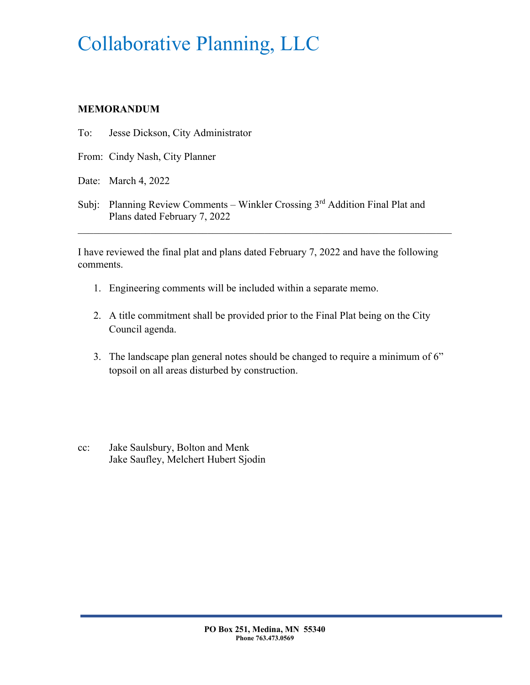# Collaborative Planning, LLC

### **MEMORANDUM**

- To: Jesse Dickson, City Administrator
- From: Cindy Nash, City Planner
- Date: March 4, 2022
- Subj: Planning Review Comments Winkler Crossing 3<sup>rd</sup> Addition Final Plat and Plans dated February 7, 2022

I have reviewed the final plat and plans dated February 7, 2022 and have the following comments.

- 1. Engineering comments will be included within a separate memo.
- 2. A title commitment shall be provided prior to the Final Plat being on the City Council agenda.
- 3. The landscape plan general notes should be changed to require a minimum of 6" topsoil on all areas disturbed by construction.
- cc: Jake Saulsbury, Bolton and Menk Jake Saufley, Melchert Hubert Sjodin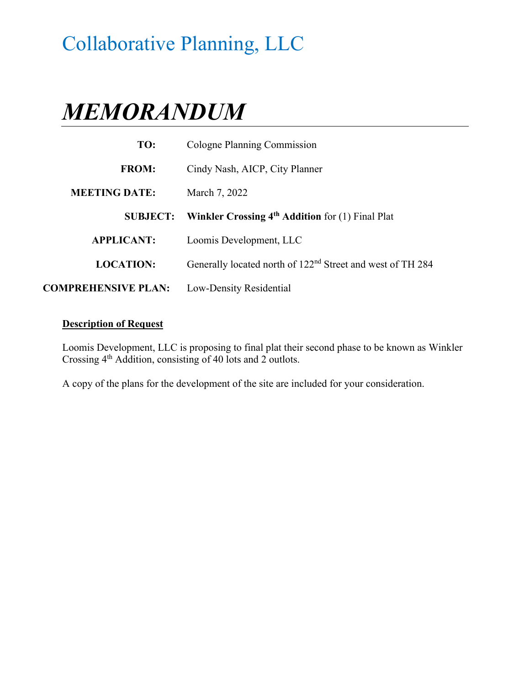# Collaborative Planning, LLC

# *MEMORANDUM*

| TO:                        | Cologne Planning Commission                                            |
|----------------------------|------------------------------------------------------------------------|
| <b>FROM:</b>               | Cindy Nash, AICP, City Planner                                         |
| <b>MEETING DATE:</b>       | March 7, 2022                                                          |
| <b>SUBJECT:</b>            | Winkler Crossing 4 <sup>th</sup> Addition for (1) Final Plat           |
| <b>APPLICANT:</b>          | Loomis Development, LLC                                                |
| <b>LOCATION:</b>           | Generally located north of 122 <sup>nd</sup> Street and west of TH 284 |
| <b>COMPREHENSIVE PLAN:</b> | Low-Density Residential                                                |

#### **Description of Request**

Loomis Development, LLC is proposing to final plat their second phase to be known as Winkler Crossing 4th Addition, consisting of 40 lots and 2 outlots.

A copy of the plans for the development of the site are included for your consideration.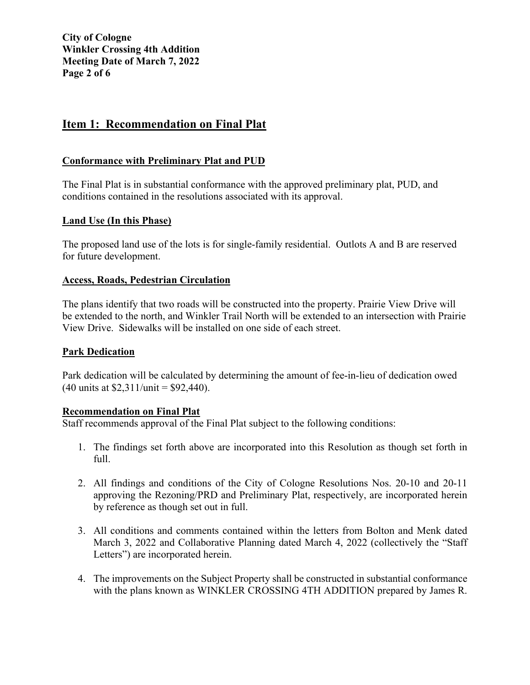## **Item 1: Recommendation on Final Plat**

#### **Conformance with Preliminary Plat and PUD**

The Final Plat is in substantial conformance with the approved preliminary plat, PUD, and conditions contained in the resolutions associated with its approval.

#### **Land Use (In this Phase)**

The proposed land use of the lots is for single-family residential. Outlots A and B are reserved for future development.

#### **Access, Roads, Pedestrian Circulation**

The plans identify that two roads will be constructed into the property. Prairie View Drive will be extended to the north, and Winkler Trail North will be extended to an intersection with Prairie View Drive. Sidewalks will be installed on one side of each street.

#### **Park Dedication**

Park dedication will be calculated by determining the amount of fee-in-lieu of dedication owed  $(40 \text{ units at } $2,311/\text{unit} = $92,440).$ 

#### **Recommendation on Final Plat**

Staff recommends approval of the Final Plat subject to the following conditions:

- 1. The findings set forth above are incorporated into this Resolution as though set forth in full.
- 2. All findings and conditions of the City of Cologne Resolutions Nos. 20-10 and 20-11 approving the Rezoning/PRD and Preliminary Plat, respectively, are incorporated herein by reference as though set out in full.
- 3. All conditions and comments contained within the letters from Bolton and Menk dated March 3, 2022 and Collaborative Planning dated March 4, 2022 (collectively the "Staff Letters") are incorporated herein.
- 4. The improvements on the Subject Property shall be constructed in substantial conformance with the plans known as WINKLER CROSSING 4TH ADDITION prepared by James R.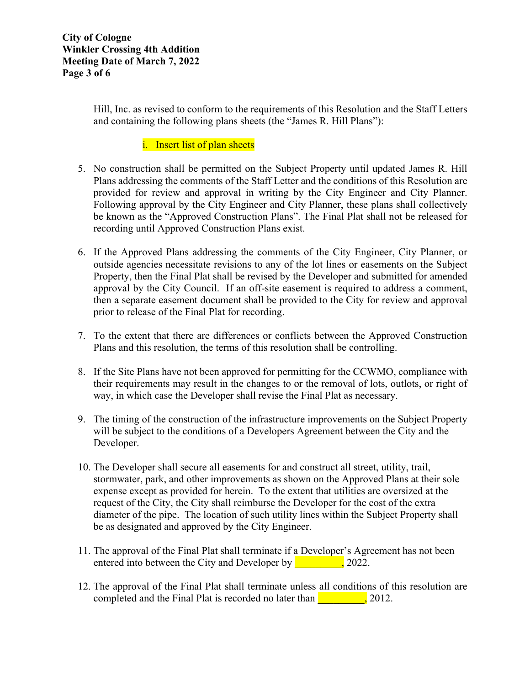Hill, Inc. as revised to conform to the requirements of this Resolution and the Staff Letters and containing the following plans sheets (the "James R. Hill Plans"):

#### i. Insert list of plan sheets

- 5. No construction shall be permitted on the Subject Property until updated James R. Hill Plans addressing the comments of the Staff Letter and the conditions of this Resolution are provided for review and approval in writing by the City Engineer and City Planner. Following approval by the City Engineer and City Planner, these plans shall collectively be known as the "Approved Construction Plans". The Final Plat shall not be released for recording until Approved Construction Plans exist.
- 6. If the Approved Plans addressing the comments of the City Engineer, City Planner, or outside agencies necessitate revisions to any of the lot lines or easements on the Subject Property, then the Final Plat shall be revised by the Developer and submitted for amended approval by the City Council. If an off-site easement is required to address a comment, then a separate easement document shall be provided to the City for review and approval prior to release of the Final Plat for recording.
- 7. To the extent that there are differences or conflicts between the Approved Construction Plans and this resolution, the terms of this resolution shall be controlling.
- 8. If the Site Plans have not been approved for permitting for the CCWMO, compliance with their requirements may result in the changes to or the removal of lots, outlots, or right of way, in which case the Developer shall revise the Final Plat as necessary.
- 9. The timing of the construction of the infrastructure improvements on the Subject Property will be subject to the conditions of a Developers Agreement between the City and the Developer.
- 10. The Developer shall secure all easements for and construct all street, utility, trail, stormwater, park, and other improvements as shown on the Approved Plans at their sole expense except as provided for herein. To the extent that utilities are oversized at the request of the City, the City shall reimburse the Developer for the cost of the extra diameter of the pipe. The location of such utility lines within the Subject Property shall be as designated and approved by the City Engineer.
- 11. The approval of the Final Plat shall terminate if a Developer's Agreement has not been entered into between the City and Developer by 2022.
- 12. The approval of the Final Plat shall terminate unless all conditions of this resolution are completed and the Final Plat is recorded no later than  $\sim$ , 2012.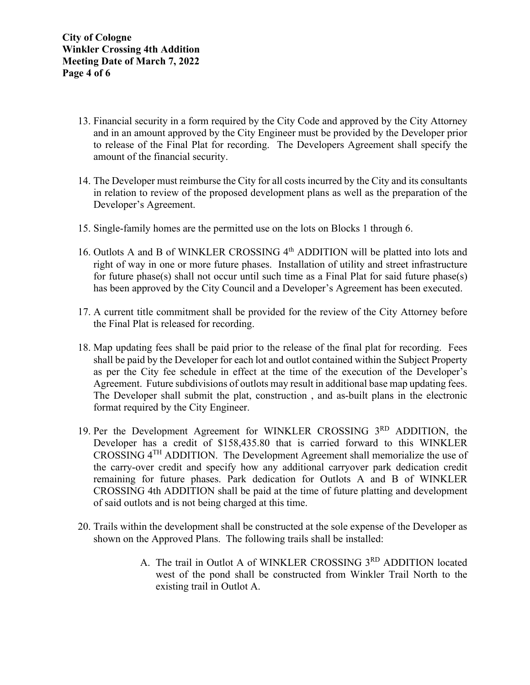- 13. Financial security in a form required by the City Code and approved by the City Attorney and in an amount approved by the City Engineer must be provided by the Developer prior to release of the Final Plat for recording. The Developers Agreement shall specify the amount of the financial security.
- 14. The Developer must reimburse the City for all costs incurred by the City and its consultants in relation to review of the proposed development plans as well as the preparation of the Developer's Agreement.
- 15. Single-family homes are the permitted use on the lots on Blocks 1 through 6.
- 16. Outlots A and B of WINKLER CROSSING 4<sup>th</sup> ADDITION will be platted into lots and right of way in one or more future phases. Installation of utility and street infrastructure for future phase(s) shall not occur until such time as a Final Plat for said future phase(s) has been approved by the City Council and a Developer's Agreement has been executed.
- 17. A current title commitment shall be provided for the review of the City Attorney before the Final Plat is released for recording.
- 18. Map updating fees shall be paid prior to the release of the final plat for recording. Fees shall be paid by the Developer for each lot and outlot contained within the Subject Property as per the City fee schedule in effect at the time of the execution of the Developer's Agreement. Future subdivisions of outlots may result in additional base map updating fees. The Developer shall submit the plat, construction , and as-built plans in the electronic format required by the City Engineer.
- 19. Per the Development Agreement for WINKLER CROSSING 3RD ADDITION, the Developer has a credit of \$158,435.80 that is carried forward to this WINKLER CROSSING 4TH ADDITION. The Development Agreement shall memorialize the use of the carry-over credit and specify how any additional carryover park dedication credit remaining for future phases. Park dedication for Outlots A and B of WINKLER CROSSING 4th ADDITION shall be paid at the time of future platting and development of said outlots and is not being charged at this time.
- 20. Trails within the development shall be constructed at the sole expense of the Developer as shown on the Approved Plans. The following trails shall be installed:
	- A. The trail in Outlot A of WINKLER CROSSING 3RD ADDITION located west of the pond shall be constructed from Winkler Trail North to the existing trail in Outlot A.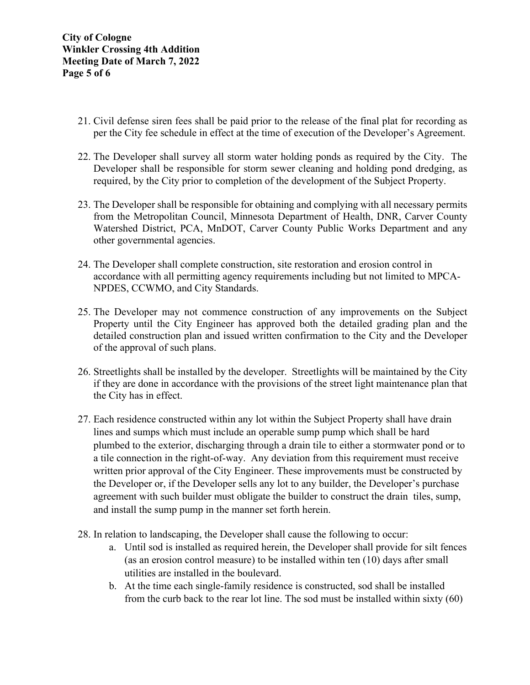- 21. Civil defense siren fees shall be paid prior to the release of the final plat for recording as per the City fee schedule in effect at the time of execution of the Developer's Agreement.
- 22. The Developer shall survey all storm water holding ponds as required by the City. The Developer shall be responsible for storm sewer cleaning and holding pond dredging, as required, by the City prior to completion of the development of the Subject Property.
- 23. The Developer shall be responsible for obtaining and complying with all necessary permits from the Metropolitan Council, Minnesota Department of Health, DNR, Carver County Watershed District, PCA, MnDOT, Carver County Public Works Department and any other governmental agencies.
- 24. The Developer shall complete construction, site restoration and erosion control in accordance with all permitting agency requirements including but not limited to MPCA-NPDES, CCWMO, and City Standards.
- 25. The Developer may not commence construction of any improvements on the Subject Property until the City Engineer has approved both the detailed grading plan and the detailed construction plan and issued written confirmation to the City and the Developer of the approval of such plans.
- 26. Streetlights shall be installed by the developer. Streetlights will be maintained by the City if they are done in accordance with the provisions of the street light maintenance plan that the City has in effect.
- 27. Each residence constructed within any lot within the Subject Property shall have drain lines and sumps which must include an operable sump pump which shall be hard plumbed to the exterior, discharging through a drain tile to either a stormwater pond or to a tile connection in the right-of-way. Any deviation from this requirement must receive written prior approval of the City Engineer. These improvements must be constructed by the Developer or, if the Developer sells any lot to any builder, the Developer's purchase agreement with such builder must obligate the builder to construct the drain tiles, sump, and install the sump pump in the manner set forth herein.
- 28. In relation to landscaping, the Developer shall cause the following to occur:
	- a. Until sod is installed as required herein, the Developer shall provide for silt fences (as an erosion control measure) to be installed within ten (10) days after small utilities are installed in the boulevard.
	- b. At the time each single-family residence is constructed, sod shall be installed from the curb back to the rear lot line. The sod must be installed within sixty (60)